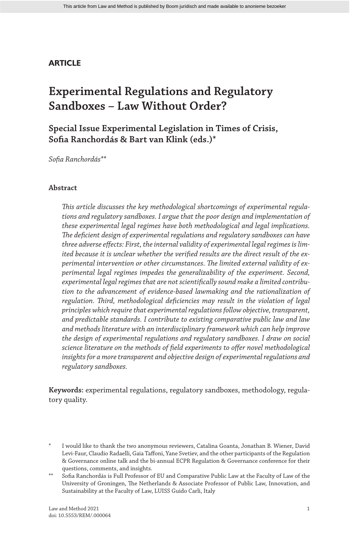# **ARTICLE**

# **Experimental Regulations and Regulatory Sandboxes – Law Without Order?**

**Special Issue Experimental Legislation in Times of Crisis, Sofia Ranchordás & Bart van Klink (eds.)\***

*Sofia Ranchordás\*\**

### **Abstract**

*This article discusses the key methodological shortcomings of experimental regulations and regulatory sandboxes. I argue that the poor design and implementation of these experimental legal regimes have both methodological and legal implications. The deficient design of experimental regulations and regulatory sandboxes can have three adverse effects: First, the internal validity of experimental legal regimes is limited because it is unclear whether the verified results are the direct result of the experimental intervention or other circumstances. The limited external validity of experimental legal regimes impedes the generalizability of the experiment. Second, experimental legal regimes that are not scientifically sound make a limited contribution to the advancement of evidence-based lawmaking and the rationalization of regulation. Third, methodological deficiencies may result in the violation of legal principles which require that experimental regulations follow objective, transparent, and predictable standards. I contribute to existing comparative public law and law and methods literature with an interdisciplinary framework which can help improve the design of experimental regulations and regulatory sandboxes. I draw on social science literature on the methods of field experiments to offer novel methodological insights for a more transparent and objective design of experimental regulations and regulatory sandboxes.*

**Keywords:** experimental regulations, regulatory sandboxes, methodology, regulatory quality.

I would like to thank the two anonymous reviewers, Catalina Goanta, Jonathan B. Wiener, David Levi-Faur, Claudio Radaelli, Gaia Taffoni, Yane Svetiev, and the other participants of the Regulation & Governance online talk and the bi-annual ECPR Regulation & Governance conference for their questions, comments, and insights.

<sup>\*\*</sup> Sofia Ranchordás is Full Professor of EU and Comparative Public Law at the Faculty of Law of the University of Groningen, The Netherlands & Associate Professor of Public Law, Innovation, and Sustainability at the Faculty of Law, LUISS Guido Carli, Italy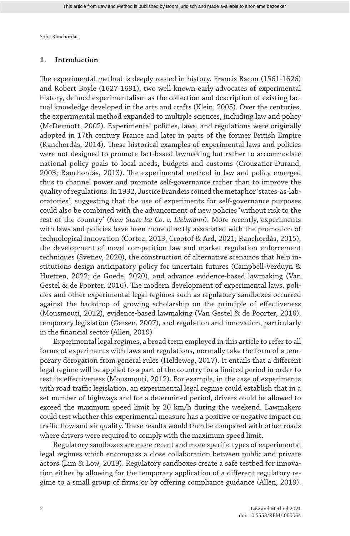### **1. Introduction**

The experimental method is deeply rooted in history. Francis Bacon (1561-1626) and Robert Boyle (1627-1691), two well-known early advocates of experimental history, defined experimentalism as the collection and description of existing factual knowledge developed in the arts and crafts (Klein, 2005). Over the centuries, the experimental method expanded to multiple sciences, including law and policy (McDermott, 2002). Experimental policies, laws, and regulations were originally adopted in 17th century France and later in parts of the former British Empire (Ranchordás, 2014). These historical examples of experimental laws and policies were not designed to promote fact-based lawmaking but rather to accommodate national policy goals to local needs, budgets and customs (Crouzatier-Durand, 2003; Ranchordás, 2013). The experimental method in law and policy emerged thus to channel power and promote self-governance rather than to improve the quality of regulations. In 1932, Justice Brandeis coined the metaphor 'states-as-laboratories', suggesting that the use of experiments for self-governance purposes could also be combined with the advancement of new policies 'without risk to the rest of the country' (*New State Ice Co. v. Liebmann*). More recently, experiments with laws and policies have been more directly associated with the promotion of technological innovation (Cortez, 2013, Crootof & Ard, 2021; Ranchordás, 2015), the development of novel competition law and market regulation enforcement techniques (Svetiev, 2020), the construction of alternative scenarios that help institutions design anticipatory policy for uncertain futures (Campbell-Verduyn & Huetten, 2022; de Goede, 2020), and advance evidence-based lawmaking (Van Gestel & de Poorter, 2016). The modern development of experimental laws, policies and other experimental legal regimes such as regulatory sandboxes occurred against the backdrop of growing scholarship on the principle of effectiveness (Mousmouti, 2012), evidence-based lawmaking (Van Gestel & de Poorter, 2016), temporary legislation (Gersen, 2007), and regulation and innovation, particularly in the financial sector (Allen, 2019)

Experimental legal regimes, a broad term employed in this article to refer to all forms of experiments with laws and regulations, normally take the form of a temporary derogation from general rules (Heldeweg, 2017). It entails that a different legal regime will be applied to a part of the country for a limited period in order to test its effectiveness (Mousmouti, 2012). For example, in the case of experiments with road traffic legislation, an experimental legal regime could establish that in a set number of highways and for a determined period, drivers could be allowed to exceed the maximum speed limit by 20 km/h during the weekend. Lawmakers could test whether this experimental measure has a positive or negative impact on traffic flow and air quality. These results would then be compared with other roads where drivers were required to comply with the maximum speed limit.

Regulatory sandboxes are more recent and more specific types of experimental legal regimes which encompass a close collaboration between public and private actors (Lim & Low, 2019). Regulatory sandboxes create a safe testbed for innovation either by allowing for the temporary application of a different regulatory regime to a small group of firms or by offering compliance guidance (Allen, 2019).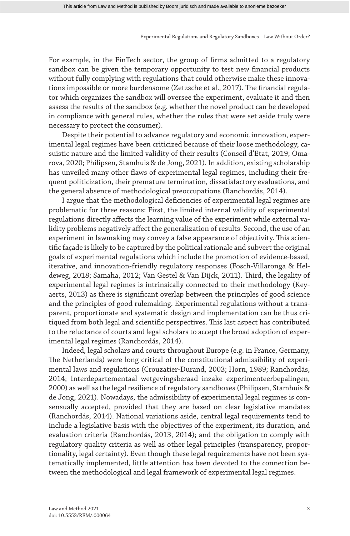For example, in the FinTech sector, the group of firms admitted to a regulatory sandbox can be given the temporary opportunity to test new financial products without fully complying with regulations that could otherwise make these innovations impossible or more burdensome (Zetzsche et al., 2017). The financial regulator which organizes the sandbox will oversee the experiment, evaluate it and then assess the results of the sandbox (e.g. whether the novel product can be developed in compliance with general rules, whether the rules that were set aside truly were necessary to protect the consumer).

Despite their potential to advance regulatory and economic innovation, experimental legal regimes have been criticized because of their loose methodology, casuistic nature and the limited validity of their results (Conseil d'Etat, 2019; Omarova, 2020; Philipsen, Stamhuis & de Jong, 2021). In addition, existing scholarship has unveiled many other flaws of experimental legal regimes, including their frequent politicization, their premature termination, dissatisfactory evaluations, and the general absence of methodological preoccupations (Ranchordás, 2014).

I argue that the methodological deficiencies of experimental legal regimes are problematic for three reasons: First, the limited internal validity of experimental regulations directly affects the learning value of the experiment while external validity problems negatively affect the generalization of results. Second, the use of an experiment in lawmaking may convey a false appearance of objectivity. This scientific façade is likely to be captured by the political rationale and subvert the original goals of experimental regulations which include the promotion of evidence-based, iterative, and innovation-friendly regulatory responses (Fosch-Villaronga & Heldeweg, 2018; Samaha, 2012; Van Gestel & Van Dijck, 2011). Third, the legality of experimental legal regimes is intrinsically connected to their methodology (Keyaerts, 2013) as there is significant overlap between the principles of good science and the principles of good rulemaking. Experimental regulations without a transparent, proportionate and systematic design and implementation can be thus critiqued from both legal and scientific perspectives. This last aspect has contributed to the reluctance of courts and legal scholars to accept the broad adoption of experimental legal regimes (Ranchordás, 2014).

Indeed, legal scholars and courts throughout Europe (e.g. in France, Germany, The Netherlands) were long critical of the constitutional admissibility of experimental laws and regulations (Crouzatier-Durand, 2003; Horn, 1989; Ranchordás, 2014; Interdepartementaal wetgevingsberaad inzake experimenteerbepalingen, 2000) as well as the legal resilience of regulatory sandboxes (Philipsen, Stamhuis & de Jong, 2021). Nowadays, the admissibility of experimental legal regimes is consensually accepted, provided that they are based on clear legislative mandates (Ranchordás, 2014). National variations aside, central legal requirements tend to include a legislative basis with the objectives of the experiment, its duration, and evaluation criteria (Ranchordás, 2013, 2014); and the obligation to comply with regulatory quality criteria as well as other legal principles (transparency, proportionality, legal certainty). Even though these legal requirements have not been systematically implemented, little attention has been devoted to the connection between the methodological and legal framework of experimental legal regimes.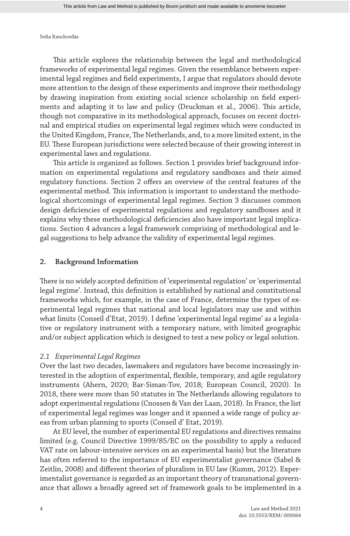This article explores the relationship between the legal and methodological frameworks of experimental legal regimes. Given the resemblance between experimental legal regimes and field experiments, I argue that regulators should devote more attention to the design of these experiments and improve their methodology by drawing inspiration from existing social science scholarship on field experiments and adapting it to law and policy (Druckman et al., 2006). This article, though not comparative in its methodological approach, focuses on recent doctrinal and empirical studies on experimental legal regimes which were conducted in the United Kingdom, France, The Netherlands, and, to a more limited extent, in the EU. These European jurisdictions were selected because of their growing interest in experimental laws and regulations.

This article is organized as follows. Section 1 provides brief background information on experimental regulations and regulatory sandboxes and their aimed regulatory functions. Section 2 offers an overview of the central features of the experimental method. This information is important to understand the methodological shortcomings of experimental legal regimes. Section 3 discusses common design deficiencies of experimental regulations and regulatory sandboxes and it explains why these methodological deficiencies also have important legal implications. Section 4 advances a legal framework comprising of methodological and legal suggestions to help advance the validity of experimental legal regimes.

### **2. Background Information**

There is no widely accepted definition of 'experimental regulation' or 'experimental legal regime'. Instead, this definition is established by national and constitutional frameworks which, for example, in the case of France, determine the types of experimental legal regimes that national and local legislators may use and within what limits (Conseil d'Etat, 2019). I define 'experimental legal regime' as a legislative or regulatory instrument with a temporary nature, with limited geographic and/or subject application which is designed to test a new policy or legal solution.

#### *2.1 Experimental Legal Regimes*

Over the last two decades, lawmakers and regulators have become increasingly interested in the adoption of experimental, flexible, temporary, and agile regulatory instruments (Ahern, 2020; Bar-Siman-Tov, 2018; European Council, 2020). In 2018, there were more than 50 statutes in The Netherlands allowing regulators to adopt experimental regulations (Cnossen & Van der Laan, 2018). In France, the list of experimental legal regimes was longer and it spanned a wide range of policy areas from urban planning to sports (Conseil d' Etat, 2019).

At EU level, the number of experimental EU regulations and directives remains limited (e.g. Council Directive 1999/85/EC on the possibility to apply a reduced VAT rate on labour-intensive services on an experimental basis) but the literature has often referred to the importance of EU experimentalist governance (Sabel & Zeitlin, 2008) and different theories of pluralism in EU law (Kumm, 2012). Experimentalist governance is regarded as an important theory of transnational governance that allows a broadly agreed set of framework goals to be implemented in a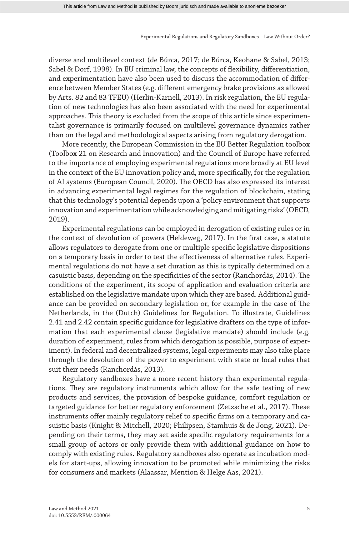diverse and multilevel context (de Búrca, 2017; de Búrca, Keohane & Sabel, 2013; Sabel & Dorf, 1998). In EU criminal law, the concepts of flexibility, differentiation, and experimentation have also been used to discuss the accommodation of difference between Member States (e.g. different emergency brake provisions as allowed by Arts. 82 and 83 TFEU) (Herlin-Karnell, 2013). In risk regulation, the EU regulation of new technologies has also been associated with the need for experimental approaches. This theory is excluded from the scope of this article since experimentalist governance is primarily focused on multilevel governance dynamics rather than on the legal and methodological aspects arising from regulatory derogation.

More recently, the European Commission in the EU Better Regulation toolbox (Toolbox 21 on Research and Innovation) and the Council of Europe have referred to the importance of employing experimental regulations more broadly at EU level in the context of the EU innovation policy and, more specifically, for the regulation of AI systems (European Council, 2020). The OECD has also expressed its interest in advancing experimental legal regimes for the regulation of blockchain, stating that this technology's potential depends upon a 'policy environment that supports innovation and experimentation while acknowledging and mitigating risks' (OECD, 2019).

Experimental regulations can be employed in derogation of existing rules or in the context of devolution of powers (Heldeweg, 2017). In the first case, a statute allows regulators to derogate from one or multiple specific legislative dispositions on a temporary basis in order to test the effectiveness of alternative rules. Experimental regulations do not have a set duration as this is typically determined on a casuistic basis, depending on the specificities of the sector (Ranchordás, 2014). The conditions of the experiment, its scope of application and evaluation criteria are established on the legislative mandate upon which they are based. Additional guidance can be provided on secondary legislation or, for example in the case of The Netherlands, in the (Dutch) Guidelines for Regulation. To illustrate, Guidelines 2.41 and 2.42 contain specific guidance for legislative drafters on the type of information that each experimental clause (legislative mandate) should include (e.g. duration of experiment, rules from which derogation is possible, purpose of experiment). In federal and decentralized systems, legal experiments may also take place through the devolution of the power to experiment with state or local rules that suit their needs (Ranchordás, 2013).

Regulatory sandboxes have a more recent history than experimental regulations. They are regulatory instruments which allow for the safe testing of new products and services, the provision of bespoke guidance, comfort regulation or targeted guidance for better regulatory enforcement (Zetzsche et al., 2017). These instruments offer mainly regulatory relief to specific firms on a temporary and casuistic basis (Knight & Mitchell, 2020; Philipsen, Stamhuis & de Jong, 2021). Depending on their terms, they may set aside specific regulatory requirements for a small group of actors or only provide them with additional guidance on how to comply with existing rules. Regulatory sandboxes also operate as incubation models for start-ups, allowing innovation to be promoted while minimizing the risks for consumers and markets (Alaassar, Mention & Helge Aas, 2021).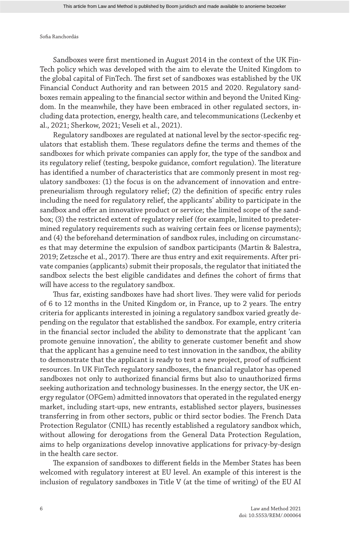Sandboxes were first mentioned in August 2014 in the context of the UK Fin-Tech policy which was developed with the aim to elevate the United Kingdom to the global capital of FinTech. The first set of sandboxes was established by the UK Financial Conduct Authority and ran between 2015 and 2020. Regulatory sandboxes remain appealing to the financial sector within and beyond the United Kingdom. In the meanwhile, they have been embraced in other regulated sectors, including data protection, energy, health care, and telecommunications (Leckenby et al., 2021; Sherkow, 2021; Veseli et al., 2021).

Regulatory sandboxes are regulated at national level by the sector-specific regulators that establish them. These regulators define the terms and themes of the sandboxes for which private companies can apply for, the type of the sandbox and its regulatory relief (testing, bespoke guidance, comfort regulation). The literature has identified a number of characteristics that are commonly present in most regulatory sandboxes: (1) the focus is on the advancement of innovation and entrepreneurialism through regulatory relief; (2) the definition of specific entry rules including the need for regulatory relief, the applicants' ability to participate in the sandbox and offer an innovative product or service; the limited scope of the sandbox; (3) the restricted extent of regulatory relief (for example, limited to predetermined regulatory requirements such as waiving certain fees or license payments); and (4) the beforehand determination of sandbox rules, including on circumstances that may determine the expulsion of sandbox participants (Martin & Balestra, 2019; Zetzsche et al., 2017). There are thus entry and exit requirements. After private companies (applicants) submit their proposals, the regulator that initiated the sandbox selects the best eligible candidates and defines the cohort of firms that will have access to the regulatory sandbox.

Thus far, existing sandboxes have had short lives. They were valid for periods of 6 to 12 months in the United Kingdom or, in France, up to 2 years. The entry criteria for applicants interested in joining a regulatory sandbox varied greatly depending on the regulator that established the sandbox. For example, entry criteria in the financial sector included the ability to demonstrate that the applicant 'can promote genuine innovation', the ability to generate customer benefit and show that the applicant has a genuine need to test innovation in the sandbox, the ability to demonstrate that the applicant is ready to test a new project, proof of sufficient resources. In UK FinTech regulatory sandboxes, the financial regulator has opened sandboxes not only to authorized financial firms but also to unauthorized firms seeking authorization and technology businesses. In the energy sector, the UK energy regulator (OFGem) admitted innovators that operated in the regulated energy market, including start-ups, new entrants, established sector players, businesses transferring in from other sectors, public or third sector bodies. The French Data Protection Regulator (CNIL) has recently established a regulatory sandbox which, without allowing for derogations from the General Data Protection Regulation, aims to help organizations develop innovative applications for privacy-by-design in the health care sector.

The expansion of sandboxes to different fields in the Member States has been welcomed with regulatory interest at EU level. An example of this interest is the inclusion of regulatory sandboxes in Title V (at the time of writing) of the EU AI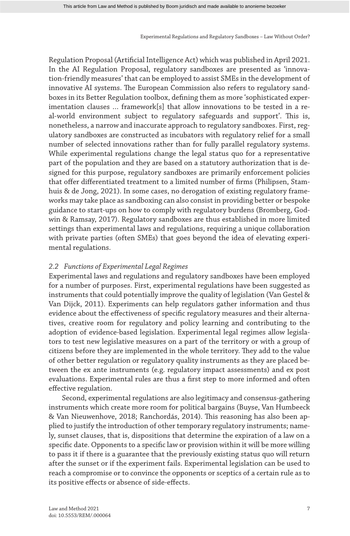Regulation Proposal (Artificial Intelligence Act) which was published in April 2021. In the AI Regulation Proposal, regulatory sandboxes are presented as 'innovation-friendly measures' that can be employed to assist SMEs in the development of innovative AI systems. The European Commission also refers to regulatory sandboxes in its Better Regulation toolbox, defining them as more 'sophisticated experimentation clauses … framework[s] that allow innovations to be tested in a real-world environment subject to regulatory safeguards and support'. This is, nonetheless, a narrow and inaccurate approach to regulatory sandboxes. First, regulatory sandboxes are constructed as incubators with regulatory relief for a small number of selected innovations rather than for fully parallel regulatory systems. While experimental regulations change the legal status quo for a representative part of the population and they are based on a statutory authorization that is designed for this purpose, regulatory sandboxes are primarily enforcement policies that offer differentiated treatment to a limited number of firms (Philipsen, Stamhuis & de Jong, 2021). In some cases, no derogation of existing regulatory frameworks may take place as sandboxing can also consist in providing better or bespoke guidance to start-ups on how to comply with regulatory burdens (Bromberg, Godwin & Ramsay, 2017). Regulatory sandboxes are thus established in more limited settings than experimental laws and regulations, requiring a unique collaboration with private parties (often SMEs) that goes beyond the idea of elevating experimental regulations.

### *2.2 Functions of Experimental Legal Regimes*

Experimental laws and regulations and regulatory sandboxes have been employed for a number of purposes. First, experimental regulations have been suggested as instruments that could potentially improve the quality of legislation (Van Gestel & Van Dijck, 2011). Experiments can help regulators gather information and thus evidence about the effectiveness of specific regulatory measures and their alternatives, creative room for regulatory and policy learning and contributing to the adoption of evidence-based legislation. Experimental legal regimes allow legislators to test new legislative measures on a part of the territory or with a group of citizens before they are implemented in the whole territory. They add to the value of other better regulation or regulatory quality instruments as they are placed between the ex ante instruments (e.g. regulatory impact assessments) and ex post evaluations. Experimental rules are thus a first step to more informed and often effective regulation.

Second, experimental regulations are also legitimacy and consensus-gathering instruments which create more room for political bargains (Buyse, Van Humbeeck & Van Nieuwenhove, 2018; Ranchordás, 2014). This reasoning has also been applied to justify the introduction of other temporary regulatory instruments; namely, sunset clauses, that is, dispositions that determine the expiration of a law on a specific date. Opponents to a specific law or provision within it will be more willing to pass it if there is a guarantee that the previously existing status quo will return after the sunset or if the experiment fails. Experimental legislation can be used to reach a compromise or to convince the opponents or sceptics of a certain rule as to its positive effects or absence of side-effects.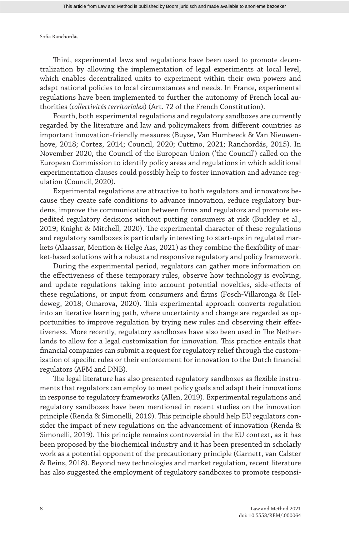Third, experimental laws and regulations have been used to promote decentralization by allowing the implementation of legal experiments at local level, which enables decentralized units to experiment within their own powers and adapt national policies to local circumstances and needs. In France, experimental regulations have been implemented to further the autonomy of French local authorities (*collectivités territoriales*) (Art. 72 of the French Constitution).

Fourth, both experimental regulations and regulatory sandboxes are currently regarded by the literature and law and policymakers from different countries as important innovation-friendly measures (Buyse, Van Humbeeck & Van Nieuwenhove, 2018; Cortez, 2014; Council, 2020; Cuttino, 2021; Ranchordás, 2015). In November 2020, the Council of the European Union ('the Council') called on the European Commission to identify policy areas and regulations in which additional experimentation clauses could possibly help to foster innovation and advance regulation (Council, 2020).

Experimental regulations are attractive to both regulators and innovators because they create safe conditions to advance innovation, reduce regulatory burdens, improve the communication between firms and regulators and promote expedited regulatory decisions without putting consumers at risk (Buckley et al., 2019; Knight & Mitchell, 2020). The experimental character of these regulations and regulatory sandboxes is particularly interesting to start-ups in regulated markets (Alaassar, Mention & Helge Aas, 2021) as they combine the flexibility of market-based solutions with a robust and responsive regulatory and policy framework.

During the experimental period, regulators can gather more information on the effectiveness of these temporary rules, observe how technology is evolving, and update regulations taking into account potential novelties, side-effects of these regulations, or input from consumers and firms (Fosch-Villaronga & Heldeweg, 2018; Omarova, 2020). This experimental approach converts regulation into an iterative learning path, where uncertainty and change are regarded as opportunities to improve regulation by trying new rules and observing their effectiveness. More recently, regulatory sandboxes have also been used in The Netherlands to allow for a legal customization for innovation. This practice entails that financial companies can submit a request for regulatory relief through the customization of specific rules or their enforcement for innovation to the Dutch financial regulators (AFM and DNB).

The legal literature has also presented regulatory sandboxes as flexible instruments that regulators can employ to meet policy goals and adapt their innovations in response to regulatory frameworks (Allen, 2019). Experimental regulations and regulatory sandboxes have been mentioned in recent studies on the innovation principle (Renda & Simonelli, 2019). This principle should help EU regulators consider the impact of new regulations on the advancement of innovation (Renda & Simonelli, 2019). This principle remains controversial in the EU context, as it has been proposed by the biochemical industry and it has been presented in scholarly work as a potential opponent of the precautionary principle (Garnett, van Calster & Reins, 2018). Beyond new technologies and market regulation, recent literature has also suggested the employment of regulatory sandboxes to promote responsi-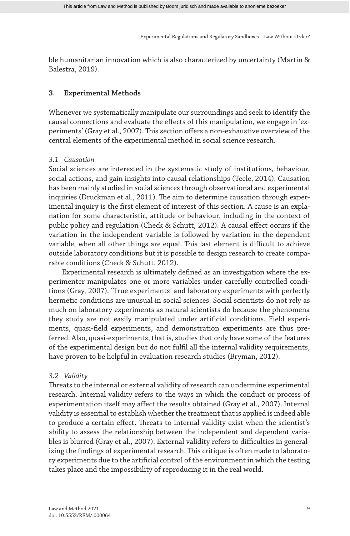ble humanitarian innovation which is also characterized by uncertainty (Martin & Balestra, 2019).

### **3. Experimental Methods**

Whenever we systematically manipulate our surroundings and seek to identify the causal connections and evaluate the effects of this manipulation, we engage in 'experiments' (Gray et al., 2007). This section offers a non-exhaustive overview of the central elements of the experimental method in social science research.

### *3.1 Causation*

Social sciences are interested in the systematic study of institutions, behaviour, social actions, and gain insights into causal relationships (Teele, 2014). Causation has been mainly studied in social sciences through observational and experimental inquiries (Druckman et al., 2011). The aim to determine causation through experimental inquiry is the first element of interest of this section. A cause is an explanation for some characteristic, attitude or behaviour, including in the context of public policy and regulation (Check & Schutt, 2012). A causal effect occurs if the variation in the independent variable is followed by variation in the dependent variable, when all other things are equal. This last element is difficult to achieve outside laboratory conditions but it is possible to design research to create comparable conditions (Check & Schutt, 2012).

Experimental research is ultimately defined as an investigation where the experimenter manipulates one or more variables under carefully controlled conditions (Gray, 2007). 'True experiments' and laboratory experiments with perfectly hermetic conditions are unusual in social sciences. Social scientists do not rely as much on laboratory experiments as natural scientists do because the phenomena they study are not easily manipulated under artificial conditions. Field experiments, quasi-field experiments, and demonstration experiments are thus preferred. Also, quasi-experiments, that is, studies that only have some of the features of the experimental design but do not fulfil all the internal validity requirements, have proven to be helpful in evaluation research studies (Bryman, 2012).

### *3.2 Validity*

Threats to the internal or external validity of research can undermine experimental research. Internal validity refers to the ways in which the conduct or process of experimentation itself may affect the results obtained (Gray et al., 2007). Internal validity is essential to establish whether the treatment that is applied is indeed able to produce a certain effect. Threats to internal validity exist when the scientist's ability to assess the relationship between the independent and dependent variables is blurred (Gray et al., 2007). External validity refers to difficulties in generalizing the findings of experimental research. This critique is often made to laboratory experiments due to the artificial control of the environment in which the testing takes place and the impossibility of reproducing it in the real world.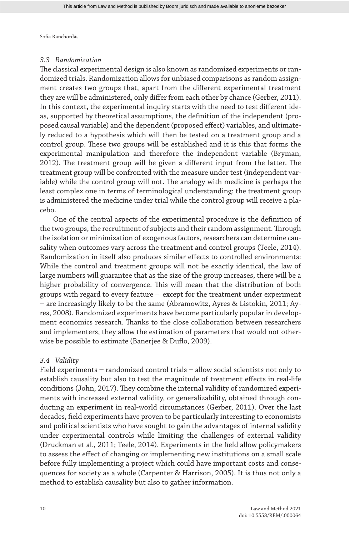### *3.3 Randomization*

The classical experimental design is also known as randomized experiments or randomized trials. Randomization allows for unbiased comparisons as random assignment creates two groups that, apart from the different experimental treatment they are will be administered, only differ from each other by chance (Gerber, 2011). In this context, the experimental inquiry starts with the need to test different ideas, supported by theoretical assumptions, the definition of the independent (proposed causal variable) and the dependent (proposed effect) variables, and ultimately reduced to a hypothesis which will then be tested on a treatment group and a control group. These two groups will be established and it is this that forms the experimental manipulation and therefore the independent variable (Bryman, 2012). The treatment group will be given a different input from the latter. The treatment group will be confronted with the measure under test (independent variable) while the control group will not. The analogy with medicine is perhaps the least complex one in terms of terminological understanding: the treatment group is administered the medicine under trial while the control group will receive a placebo.

One of the central aspects of the experimental procedure is the definition of the two groups, the recruitment of subjects and their random assignment. Through the isolation or minimization of exogenous factors, researchers can determine causality when outcomes vary across the treatment and control groups (Teele, 2014). Randomization in itself also produces similar effects to controlled environments: While the control and treatment groups will not be exactly identical, the law of large numbers will guarantee that as the size of the group increases, there will be a higher probability of convergence. This will mean that the distribution of both groups with regard to every feature − except for the treatment under experiment − are increasingly likely to be the same (Abramowitz, Ayres & Listokin, 2011; Ayres, 2008). Randomized experiments have become particularly popular in development economics research. Thanks to the close collaboration between researchers and implementers, they allow the estimation of parameters that would not otherwise be possible to estimate (Banerjee & Duflo, 2009).

### *3.4 Validity*

Field experiments − randomized control trials − allow social scientists not only to establish causality but also to test the magnitude of treatment effects in real-life conditions (John, 2017). They combine the internal validity of randomized experiments with increased external validity, or generalizability, obtained through conducting an experiment in real-world circumstances (Gerber, 2011). Over the last decades, field experiments have proven to be particularly interesting to economists and political scientists who have sought to gain the advantages of internal validity under experimental controls while limiting the challenges of external validity (Druckman et al., 2011; Teele, 2014). Experiments in the field allow policymakers to assess the effect of changing or implementing new institutions on a small scale before fully implementing a project which could have important costs and consequences for society as a whole (Carpenter & Harrison, 2005). It is thus not only a method to establish causality but also to gather information.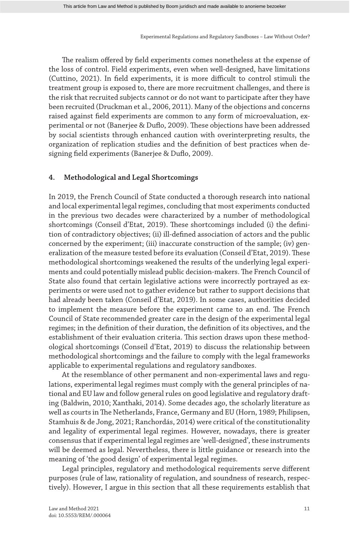The realism offered by field experiments comes nonetheless at the expense of the loss of control. Field experiments, even when well-designed, have limitations (Cuttino, 2021). In field experiments, it is more difficult to control stimuli the treatment group is exposed to, there are more recruitment challenges, and there is the risk that recruited subjects cannot or do not want to participate after they have been recruited (Druckman et al., 2006, 2011). Many of the objections and concerns raised against field experiments are common to any form of microevaluation, experimental or not (Banerjee & Duflo, 2009). These objections have been addressed by social scientists through enhanced caution with overinterpreting results, the organization of replication studies and the definition of best practices when designing field experiments (Banerjee & Duflo, 2009).

### **4. Methodological and Legal Shortcomings**

In 2019, the French Council of State conducted a thorough research into national and local experimental legal regimes, concluding that most experiments conducted in the previous two decades were characterized by a number of methodological shortcomings (Conseil d'Etat, 2019). These shortcomings included (i) the definition of contradictory objectives; (ii) ill-defined association of actors and the public concerned by the experiment; (iii) inaccurate construction of the sample; (iv) generalization of the measure tested before its evaluation (Conseil d'Etat, 2019). These methodological shortcomings weakened the results of the underlying legal experiments and could potentially mislead public decision-makers. The French Council of State also found that certain legislative actions were incorrectly portrayed as experiments or were used not to gather evidence but rather to support decisions that had already been taken (Conseil d'Etat, 2019). In some cases, authorities decided to implement the measure before the experiment came to an end. The French Council of State recommended greater care in the design of the experimental legal regimes; in the definition of their duration, the definition of its objectives, and the establishment of their evaluation criteria. This section draws upon these methodological shortcomings (Conseil d'Etat, 2019) to discuss the relationship between methodological shortcomings and the failure to comply with the legal frameworks applicable to experimental regulations and regulatory sandboxes.

At the resemblance of other permanent and non-experimental laws and regulations, experimental legal regimes must comply with the general principles of national and EU law and follow general rules on good legislative and regulatory drafting (Baldwin, 2010; Xanthaki, 2014). Some decades ago, the scholarly literature as well as courts in The Netherlands, France, Germany and EU (Horn, 1989; Philipsen, Stamhuis & de Jong, 2021; Ranchordás, 2014) were critical of the constitutionality and legality of experimental legal regimes. However, nowadays, there is greater consensus that if experimental legal regimes are 'well-designed', these instruments will be deemed as legal. Nevertheless, there is little guidance or research into the meaning of 'the good design' of experimental legal regimes.

Legal principles, regulatory and methodological requirements serve different purposes (rule of law, rationality of regulation, and soundness of research, respectively). However, I argue in this section that all these requirements establish that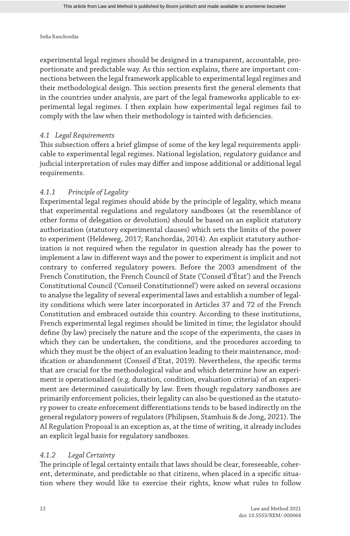experimental legal regimes should be designed in a transparent, accountable, proportionate and predictable way. As this section explains, there are important connections between the legal framework applicable to experimental legal regimes and their methodological design. This section presents first the general elements that in the countries under analysis, are part of the legal frameworks applicable to experimental legal regimes. I then explain how experimental legal regimes fail to comply with the law when their methodology is tainted with deficiencies.

### *4.1 Legal Requirements*

This subsection offers a brief glimpse of some of the key legal requirements applicable to experimental legal regimes. National legislation, regulatory guidance and judicial interpretation of rules may differ and impose additional or additional legal requirements.

### *4.1.1 Principle of Legality*

Experimental legal regimes should abide by the principle of legality, which means that experimental regulations and regulatory sandboxes (at the resemblance of other forms of delegation or devolution) should be based on an explicit statutory authorization (statutory experimental clauses) which sets the limits of the power to experiment (Heldeweg, 2017; Ranchordás, 2014). An explicit statutory authorization is not required when the regulator in question already has the power to implement a law in different ways and the power to experiment is implicit and not contrary to conferred regulatory powers. Before the 2003 amendment of the French Constitution, the French Council of State ('Conseil d'État') and the French Constitutional Council ('Conseil Constitutionnel') were asked on several occasions to analyse the legality of several experimental laws and establish a number of legality conditions which were later incorporated in Articles 37 and 72 of the French Constitution and embraced outside this country. According to these institutions, French experimental legal regimes should be limited in time; the legislator should define (by law) precisely the nature and the scope of the experiments, the cases in which they can be undertaken, the conditions, and the procedures according to which they must be the object of an evaluation leading to their maintenance, modification or abandonment (Conseil d'Etat, 2019). Nevertheless, the specific terms that are crucial for the methodological value and which determine how an experiment is operationalized (e.g. duration, condition, evaluation criteria) of an experiment are determined casuistically by law. Even though regulatory sandboxes are primarily enforcement policies, their legality can also be questioned as the statutory power to create enforcement differentiations tends to be based indirectly on the general regulatory powers of regulators (Philipsen, Stamhuis & de Jong, 2021). The AI Regulation Proposal is an exception as, at the time of writing, it already includes an explicit legal basis for regulatory sandboxes.

### *4.1.2 Legal Certainty*

The principle of legal certainty entails that laws should be clear, foreseeable, coherent, determinate, and predictable so that citizens, when placed in a specific situation where they would like to exercise their rights, know what rules to follow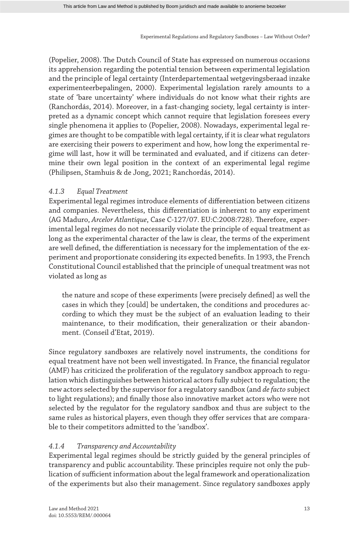(Popelier, 2008). The Dutch Council of State has expressed on numerous occasions its apprehension regarding the potential tension between experimental legislation and the principle of legal certainty (Interdepartementaal wetgevingsberaad inzake experimenteerbepalingen, 2000). Experimental legislation rarely amounts to a state of 'bare uncertainty' where individuals do not know what their rights are (Ranchordás, 2014). Moreover, in a fast-changing society, legal certainty is interpreted as a dynamic concept which cannot require that legislation foresees every single phenomena it applies to (Popelier, 2008). Nowadays, experimental legal regimes are thought to be compatible with legal certainty, if it is clear what regulators are exercising their powers to experiment and how, how long the experimental regime will last, how it will be terminated and evaluated, and if citizens can determine their own legal position in the context of an experimental legal regime (Philipsen, Stamhuis & de Jong, 2021; Ranchordás, 2014).

## *4.1.3 Equal Treatment*

Experimental legal regimes introduce elements of differentiation between citizens and companies. Nevertheless, this differentiation is inherent to any experiment (AG Maduro, *Arcelor Atlantique*, Case C-127/07. EU:C:2008:728). Therefore, experimental legal regimes do not necessarily violate the principle of equal treatment as long as the experimental character of the law is clear, the terms of the experiment are well defined, the differentiation is necessary for the implementation of the experiment and proportionate considering its expected benefits. In 1993, the French Constitutional Council established that the principle of unequal treatment was not violated as long as

the nature and scope of these experiments [were precisely defined] as well the cases in which they [could] be undertaken, the conditions and procedures according to which they must be the subject of an evaluation leading to their maintenance, to their modification, their generalization or their abandonment. (Conseil d'Etat, 2019).

Since regulatory sandboxes are relatively novel instruments, the conditions for equal treatment have not been well investigated. In France, the financial regulator (AMF) has criticized the proliferation of the regulatory sandbox approach to regulation which distinguishes between historical actors fully subject to regulation; the new actors selected by the supervisor for a regulatory sandbox (and *de facto* subject to light regulations); and finally those also innovative market actors who were not selected by the regulator for the regulatory sandbox and thus are subject to the same rules as historical players, even though they offer services that are comparable to their competitors admitted to the 'sandbox'.

# *4.1.4 Transparency and Accountability*

Experimental legal regimes should be strictly guided by the general principles of transparency and public accountability. These principles require not only the publication of sufficient information about the legal framework and operationalization of the experiments but also their management. Since regulatory sandboxes apply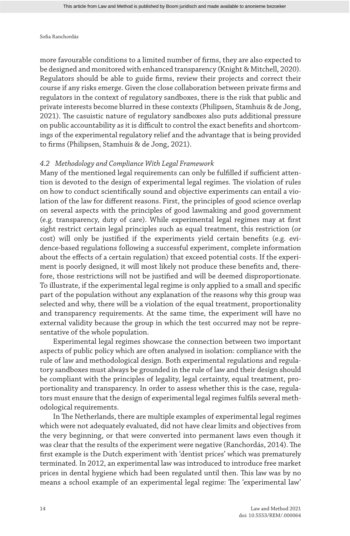more favourable conditions to a limited number of firms, they are also expected to be designed and monitored with enhanced transparency (Knight & Mitchell, 2020). Regulators should be able to guide firms, review their projects and correct their course if any risks emerge. Given the close collaboration between private firms and regulators in the context of regulatory sandboxes, there is the risk that public and private interests become blurred in these contexts (Philipsen, Stamhuis & de Jong, 2021). The casuistic nature of regulatory sandboxes also puts additional pressure on public accountability as it is difficult to control the exact benefits and shortcomings of the experimental regulatory relief and the advantage that is being provided to firms (Philipsen, Stamhuis & de Jong, 2021).

#### *4.2 Methodology and Compliance With Legal Framework*

Many of the mentioned legal requirements can only be fulfilled if sufficient attention is devoted to the design of experimental legal regimes. The violation of rules on how to conduct scientifically sound and objective experiments can entail a violation of the law for different reasons. First, the principles of good science overlap on several aspects with the principles of good lawmaking and good government (e.g. transparency, duty of care). While experimental legal regimes may at first sight restrict certain legal principles such as equal treatment, this restriction (or cost) will only be justified if the experiments yield certain benefits (e.g. evidence-based regulations following a successful experiment, complete information about the effects of a certain regulation) that exceed potential costs. If the experiment is poorly designed, it will most likely not produce these benefits and, therefore, those restrictions will not be justified and will be deemed disproportionate. To illustrate, if the experimental legal regime is only applied to a small and specific part of the population without any explanation of the reasons why this group was selected and why, there will be a violation of the equal treatment, proportionality and transparency requirements. At the same time, the experiment will have no external validity because the group in which the test occurred may not be representative of the whole population.

Experimental legal regimes showcase the connection between two important aspects of public policy which are often analysed in isolation: compliance with the rule of law and methodological design. Both experimental regulations and regulatory sandboxes must always be grounded in the rule of law and their design should be compliant with the principles of legality, legal certainty, equal treatment, proportionality and transparency. In order to assess whether this is the case, regulators must ensure that the design of experimental legal regimes fulfils several methodological requirements.

In The Netherlands, there are multiple examples of experimental legal regimes which were not adequately evaluated, did not have clear limits and objectives from the very beginning, or that were converted into permanent laws even though it was clear that the results of the experiment were negative (Ranchordás, 2014). The first example is the Dutch experiment with 'dentist prices' which was prematurely terminated. In 2012, an experimental law was introduced to introduce free market prices in dental hygiene which had been regulated until then. This law was by no means a school example of an experimental legal regime: The 'experimental law'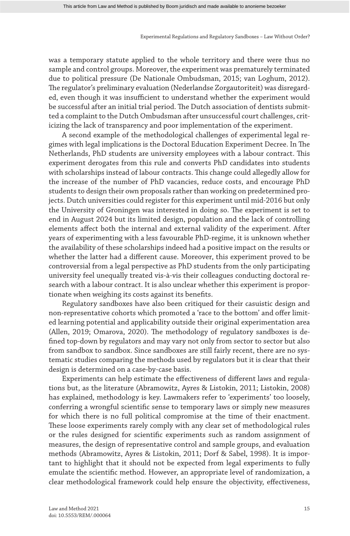was a temporary statute applied to the whole territory and there were thus no sample and control groups. Moreover, the experiment was prematurely terminated due to political pressure (De Nationale Ombudsman, 2015; van Loghum, 2012). The regulator's preliminary evaluation (Nederlandse Zorgautoriteit) was disregarded, even though it was insufficient to understand whether the experiment would be successful after an initial trial period. The Dutch association of dentists submitted a complaint to the Dutch Ombudsman after unsuccessful court challenges, criticizing the lack of transparency and poor implementation of the experiment.

A second example of the methodological challenges of experimental legal regimes with legal implications is the Doctoral Education Experiment Decree. In The Netherlands, PhD students are university employees with a labour contract. This experiment derogates from this rule and converts PhD candidates into students with scholarships instead of labour contracts. This change could allegedly allow for the increase of the number of PhD vacancies, reduce costs, and encourage PhD students to design their own proposals rather than working on predetermined projects. Dutch universities could register for this experiment until mid-2016 but only the University of Groningen was interested in doing so. The experiment is set to end in August 2024 but its limited design, population and the lack of controlling elements affect both the internal and external validity of the experiment. After years of experimenting with a less favourable PhD-regime, it is unknown whether the availability of these scholarships indeed had a positive impact on the results or whether the latter had a different cause. Moreover, this experiment proved to be controversial from a legal perspective as PhD students from the only participating university feel unequally treated vis-à-vis their colleagues conducting doctoral research with a labour contract. It is also unclear whether this experiment is proportionate when weighing its costs against its benefits.

Regulatory sandboxes have also been critiqued for their casuistic design and non-representative cohorts which promoted a 'race to the bottom' and offer limited learning potential and applicability outside their original experimentation area (Allen, 2019; Omarova, 2020). The methodology of regulatory sandboxes is defined top-down by regulators and may vary not only from sector to sector but also from sandbox to sandbox. Since sandboxes are still fairly recent, there are no systematic studies comparing the methods used by regulators but it is clear that their design is determined on a case-by-case basis.

Experiments can help estimate the effectiveness of different laws and regulations but, as the literature (Abramowitz, Ayres & Listokin, 2011; Listokin, 2008) has explained, methodology is key. Lawmakers refer to 'experiments' too loosely, conferring a wrongful scientific sense to temporary laws or simply new measures for which there is no full political compromise at the time of their enactment. These loose experiments rarely comply with any clear set of methodological rules or the rules designed for scientific experiments such as random assignment of measures, the design of representative control and sample groups, and evaluation methods (Abramowitz, Ayres & Listokin, 2011; Dorf & Sabel, 1998). It is important to highlight that it should not be expected from legal experiments to fully emulate the scientific method. However, an appropriate level of randomization, a clear methodological framework could help ensure the objectivity, effectiveness,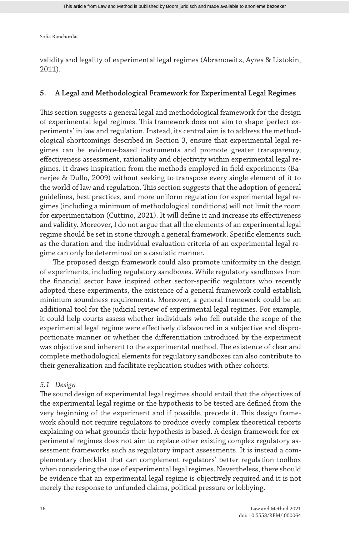validity and legality of experimental legal regimes (Abramowitz, Ayres & Listokin, 2011).

### **5. A Legal and Methodological Framework for Experimental Legal Regimes**

This section suggests a general legal and methodological framework for the design of experimental legal regimes. This framework does not aim to shape 'perfect experiments' in law and regulation. Instead, its central aim is to address the methodological shortcomings described in Section 3, ensure that experimental legal regimes can be evidence-based instruments and promote greater transparency, effectiveness assessment, rationality and objectivity within experimental legal regimes. It draws inspiration from the methods employed in field experiments (Banerjee & Duflo, 2009) without seeking to transpose every single element of it to the world of law and regulation. This section suggests that the adoption of general guidelines, best practices, and more uniform regulation for experimental legal regimes (including a minimum of methodological conditions) will not limit the room for experimentation (Cuttino, 2021). It will define it and increase its effectiveness and validity. Moreover, I do not argue that all the elements of an experimental legal regime should be set in stone through a general framework. Specific elements such as the duration and the individual evaluation criteria of an experimental legal regime can only be determined on a casuistic manner.

The proposed design framework could also promote uniformity in the design of experiments, including regulatory sandboxes. While regulatory sandboxes from the financial sector have inspired other sector-specific regulators who recently adopted these experiments, the existence of a general framework could establish minimum soundness requirements. Moreover, a general framework could be an additional tool for the judicial review of experimental legal regimes. For example, it could help courts assess whether individuals who fell outside the scope of the experimental legal regime were effectively disfavoured in a subjective and disproportionate manner or whether the differentiation introduced by the experiment was objective and inherent to the experimental method. The existence of clear and complete methodological elements for regulatory sandboxes can also contribute to their generalization and facilitate replication studies with other cohorts.

#### *5.1 Design*

The sound design of experimental legal regimes should entail that the objectives of the experimental legal regime or the hypothesis to be tested are defined from the very beginning of the experiment and if possible, precede it. This design framework should not require regulators to produce overly complex theoretical reports explaining on what grounds their hypothesis is based. A design framework for experimental regimes does not aim to replace other existing complex regulatory assessment frameworks such as regulatory impact assessments. It is instead a complementary checklist that can complement regulators' better regulation toolbox when considering the use of experimental legal regimes. Nevertheless, there should be evidence that an experimental legal regime is objectively required and it is not merely the response to unfunded claims, political pressure or lobbying.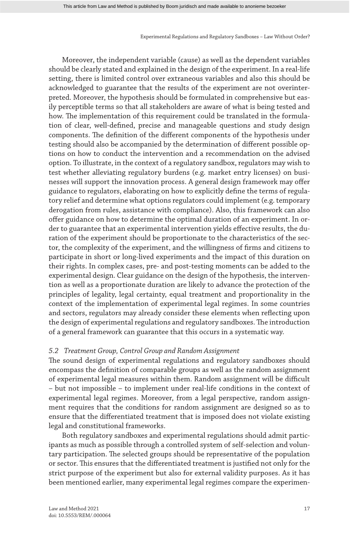Moreover, the independent variable (cause) as well as the dependent variables should be clearly stated and explained in the design of the experiment. In a real-life setting, there is limited control over extraneous variables and also this should be acknowledged to guarantee that the results of the experiment are not overinterpreted. Moreover, the hypothesis should be formulated in comprehensive but easily perceptible terms so that all stakeholders are aware of what is being tested and how. The implementation of this requirement could be translated in the formulation of clear, well-defined, precise and manageable questions and study design components. The definition of the different components of the hypothesis under testing should also be accompanied by the determination of different possible options on how to conduct the intervention and a recommendation on the advised option. To illustrate, in the context of a regulatory sandbox, regulators may wish to test whether alleviating regulatory burdens (e.g. market entry licenses) on businesses will support the innovation process. A general design framework may offer guidance to regulators, elaborating on how to explicitly define the terms of regulatory relief and determine what options regulators could implement (e.g. temporary derogation from rules, assistance with compliance). Also, this framework can also offer guidance on how to determine the optimal duration of an experiment. In order to guarantee that an experimental intervention yields effective results, the duration of the experiment should be proportionate to the characteristics of the sector, the complexity of the experiment, and the willingness of firms and citizens to participate in short or long-lived experiments and the impact of this duration on their rights. In complex cases, pre- and post-testing moments can be added to the experimental design. Clear guidance on the design of the hypothesis, the intervention as well as a proportionate duration are likely to advance the protection of the principles of legality, legal certainty, equal treatment and proportionality in the context of the implementation of experimental legal regimes. In some countries and sectors, regulators may already consider these elements when reflecting upon the design of experimental regulations and regulatory sandboxes. The introduction of a general framework can guarantee that this occurs in a systematic way.

### *5.2 Treatment Group, Control Group and Random Assignment*

The sound design of experimental regulations and regulatory sandboxes should encompass the definition of comparable groups as well as the random assignment of experimental legal measures within them. Random assignment will be difficult – but not impossible – to implement under real-life conditions in the context of experimental legal regimes. Moreover, from a legal perspective, random assignment requires that the conditions for random assignment are designed so as to ensure that the differentiated treatment that is imposed does not violate existing legal and constitutional frameworks.

Both regulatory sandboxes and experimental regulations should admit participants as much as possible through a controlled system of self-selection and voluntary participation. The selected groups should be representative of the population or sector. This ensures that the differentiated treatment is justified not only for the strict purpose of the experiment but also for external validity purposes. As it has been mentioned earlier, many experimental legal regimes compare the experimen-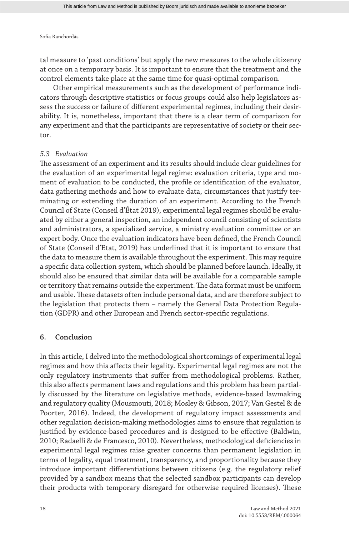tal measure to 'past conditions' but apply the new measures to the whole citizenry at once on a temporary basis. It is important to ensure that the treatment and the control elements take place at the same time for quasi-optimal comparison.

Other empirical measurements such as the development of performance indicators through descriptive statistics or focus groups could also help legislators assess the success or failure of different experimental regimes, including their desirability. It is, nonetheless, important that there is a clear term of comparison for any experiment and that the participants are representative of society or their sector.

#### *5.3 Evaluation*

The assessment of an experiment and its results should include clear guidelines for the evaluation of an experimental legal regime: evaluation criteria, type and moment of evaluation to be conducted, the profile or identification of the evaluator, data gathering methods and how to evaluate data, circumstances that justify terminating or extending the duration of an experiment. According to the French Council of State (Conseil d'État 2019), experimental legal regimes should be evaluated by either a general inspection, an independent council consisting of scientists and administrators, a specialized service, a ministry evaluation committee or an expert body. Once the evaluation indicators have been defined, the French Council of State (Conseil d'Etat, 2019) has underlined that it is important to ensure that the data to measure them is available throughout the experiment. This may require a specific data collection system, which should be planned before launch. Ideally, it should also be ensured that similar data will be available for a comparable sample or territory that remains outside the experiment. The data format must be uniform and usable. These datasets often include personal data, and are therefore subject to the legislation that protects them – namely the General Data Protection Regulation (GDPR) and other European and French sector-specific regulations.

#### **6. Conclusion**

In this article, I delved into the methodological shortcomings of experimental legal regimes and how this affects their legality. Experimental legal regimes are not the only regulatory instruments that suffer from methodological problems. Rather, this also affects permanent laws and regulations and this problem has been partially discussed by the literature on legislative methods, evidence-based lawmaking and regulatory quality (Mousmouti, 2018; Mosley & Gibson, 2017; Van Gestel & de Poorter, 2016). Indeed, the development of regulatory impact assessments and other regulation decision-making methodologies aims to ensure that regulation is justified by evidence-based procedures and is designed to be effective (Baldwin, 2010; Radaelli & de Francesco, 2010). Nevertheless, methodological deficiencies in experimental legal regimes raise greater concerns than permanent legislation in terms of legality, equal treatment, transparency, and proportionality because they introduce important differentiations between citizens (e.g. the regulatory relief provided by a sandbox means that the selected sandbox participants can develop their products with temporary disregard for otherwise required licenses). These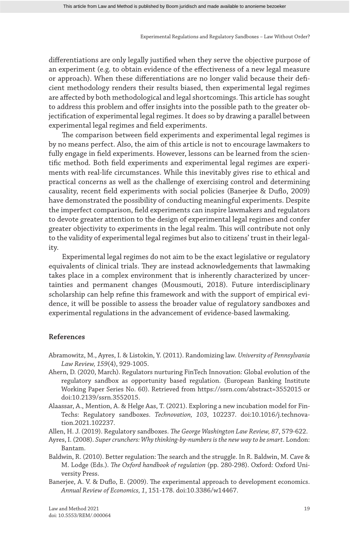differentiations are only legally justified when they serve the objective purpose of an experiment (e.g. to obtain evidence of the effectiveness of a new legal measure or approach). When these differentiations are no longer valid because their deficient methodology renders their results biased, then experimental legal regimes are affected by both methodological and legal shortcomings. This article has sought to address this problem and offer insights into the possible path to the greater objectification of experimental legal regimes. It does so by drawing a parallel between experimental legal regimes and field experiments.

The comparison between field experiments and experimental legal regimes is by no means perfect. Also, the aim of this article is not to encourage lawmakers to fully engage in field experiments. However, lessons can be learned from the scientific method. Both field experiments and experimental legal regimes are experiments with real-life circumstances. While this inevitably gives rise to ethical and practical concerns as well as the challenge of exercising control and determining causality, recent field experiments with social policies (Banerjee & Duflo, 2009) have demonstrated the possibility of conducting meaningful experiments. Despite the imperfect comparison, field experiments can inspire lawmakers and regulators to devote greater attention to the design of experimental legal regimes and confer greater objectivity to experiments in the legal realm. This will contribute not only to the validity of experimental legal regimes but also to citizens' trust in their legality.

Experimental legal regimes do not aim to be the exact legislative or regulatory equivalents of clinical trials. They are instead acknowledgements that lawmaking takes place in a complex environment that is inherently characterized by uncertainties and permanent changes (Mousmouti, 2018). Future interdisciplinary scholarship can help refine this framework and with the support of empirical evidence, it will be possible to assess the broader value of regulatory sandboxes and experimental regulations in the advancement of evidence-based lawmaking.

### **References**

- Abramowitz, M., Ayres, I. & Listokin, Y. (2011). Randomizing law. *University of Pennsylvania Law Review, 159*(4), 929-1005.
- Ahern, D. (2020, March). Regulators nurturing FinTech Innovation: Global evolution of the regulatory sandbox as opportunity based regulation. (European Banking Institute Working Paper Series No. 60). Retrieved from https://ssrn.com/abstract=3552015 or doi:10.2139/ssrn.3552015.
- Alaassar, A., Mention, A. & Helge Aas, T. (2021). Exploring a new incubation model for Fin-Techs: Regulatory sandboxes. *Technovation, 103*, 102237. doi:10.1016/j.technovation.2021.102237.
- Allen, H. J. (2019). Regulatory sandboxes. *The George Washington Law Review, 87*, 579-622.
- Ayres, I. (2008). *Super crunchers: Why thinking-by-numbers is the new way to be smart*. London: Bantam.
- Baldwin, R. (2010). Better regulation: The search and the struggle. In R. Baldwin, M. Cave & M. Lodge (Eds.). *The Oxford handbook of regulation* (pp. 280-298). Oxford: Oxford University Press.
- Banerjee, A. V. & Duflo, E. (2009). The experimental approach to development economics. *Annual Review of Economics, 1*, 151-178. doi:10.3386/w14467.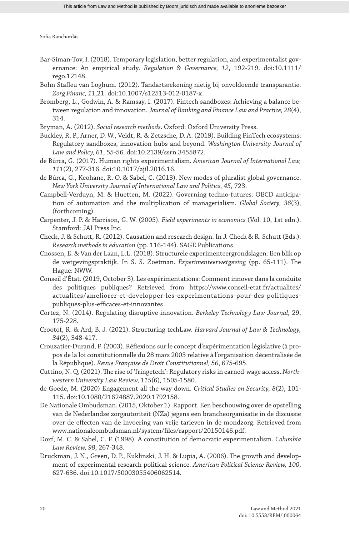- Bar-Siman-Tov, I. (2018). Temporary legislation, better regulation, and experimentalist governance: An empirical study. *Regulation & Governance, 12*, 192-219. doi:10.1111/ rego.12148.
- Bohn Stafleu van Loghum. (2012). Tandartsrekening nietig bij onvoldoende transparantie. *Zorg Financ, 11*,21. doi:10.1007/s12513-012-0187-x.
- Bromberg, L., Godwin, A. & Ramsay, I. (2017). Fintech sandboxes: Achieving a balance between regulation and innovation. *Journal of Banking and Finance Law and Practice, 28*(4), 314.
- Bryman, A. (2012). *Social research methods*. Oxford: Oxford University Press.
- Buckley, R. P., Arner, D. W., Veidt, R. & Zetzsche, D. A. (2019). Building FinTech ecosystems: Regulatory sandboxes, innovation hubs and beyond. *Washington University Journal of Law and Policy, 61*, 55-56. doi:10.2139/ssrn.3455872.
- de Búrca, G. (2017). Human rights experimentalism. *American Journal of International Law, 111*(2), 277-316. doi:10.1017/ajil.2016.16.
- de Búrca, G., Keohane, R. O. & Sabel, C. (2013). New modes of pluralist global governance. *New York University Journal of International Law and Politics, 45*, 723.
- Campbell-Verduyn, M. & Huetten, M. (2022). Governing techno-futures: OECD anticipation of automation and the multiplication of managerialism. *Global Society, 36*(3), (forthcoming).
- Carpenter, J. P. & Harrison, G. W. (2005). *Field experiments in economics* (Vol. 10, 1st edn.). Stamford: JAI Press Inc.
- Check, J. & Schutt, R. (2012). Causation and research design. In J. Check & R. Schutt (Eds.). *Research methods in education* (pp. 116-144). SAGE Publications.
- Cnossen, E. & Van der Laan, L.L. (2018). Structurele experimenteergrondslagen: Een blik op de wetgevingspraktijk. In S. S. Zoetman. *Experimenteerwetgeving* (pp. 65-111). The Hague: NWW.
- Conseil d'État. (2019, October 3). Les expérimentations: Comment innover dans la conduite des politiques publiques? Retrieved from https://www.conseil-etat.fr/actualites/ actualites/ameliorer-et-developper-les-experimentations-pour-des-politiquespubliques-plus-efficaces-et-innovantes
- Cortez, N. (2014). Regulating disruptive innovation. *Berkeley Technology Law Journal*, 29, 175-228.
- Crootof, R. & Ard, B. J. (2021). Structuring techLaw. *Harvard Journal of Law & Technology, 34*(2), 348-417.
- Crouzatier-Durand, F. (2003). Réflexions sur le concept d'expérimentation législative (à propos de la loi constitutionnelle du 28 mars 2003 relative à l'organisation décentralisée de la République). *Revue Française de Droit Constitutionnel, 56*, 675-695.
- Cuttino, N. Q. (2021). The rise of 'fringetech': Regulatory risks in earned-wage access. *Northwestern University Law Review, 115*(6), 1505-1580.
- de Goede, M. (2020) Engagement all the way down. *Critical Studies on Security, 8*(2), 101- 115. doi:10.1080/21624887.2020.1792158.
- De Nationale Ombudsman. (2015, Oktober 1). Rapport. Een beschouwing over de opstelling van de Nederlandse zorgautoriteit (NZa) jegens een brancheorganisatie in de discussie over de effecten van de invoering van vrije tarieven in de mondzorg. Retrieved from www.nationaleombudsman.nl/system/files/rapport/20150146.pdf.
- Dorf, M. C. & Sabel, C. F. (1998). A constitution of democratic experimentalism. *Columbia Law Review, 98*, 267-348.
- Druckman, J. N., Green, D. P., Kuklinski, J. H. & Lupia, A. (2006). The growth and development of experimental research political science. *American Political Science Review, 100*, 627-636. doi:10.1017/S0003055406062514.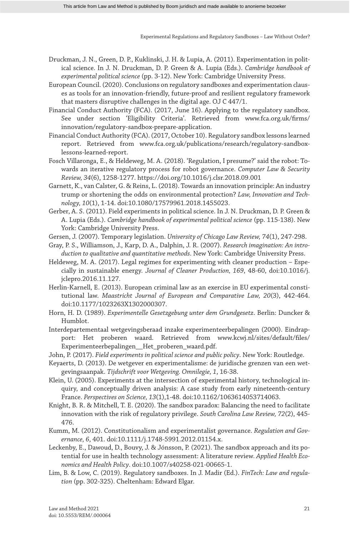- Druckman, J. N., Green, D. P., Kuklinski, J. H. & Lupia, A. (2011). Experimentation in political science. In J. N. Druckman, D. P. Green & A. Lupia (Eds.). *Cambridge handbook of experimental political science* (pp. 3-12). New York: Cambridge University Press.
- European Council. (2020). Conclusions on regulatory sandboxes and experimentation clauses as tools for an innovation-friendly, future-proof and resilient regulatory framework that masters disruptive challenges in the digital age. OJ C 447/1.
- Financial Conduct Authority (FCA). (2017, June 16). Applying to the regulatory sandbox. See under section 'Eligibility Criteria'. Retrieved from www.fca.org.uk/firms/ innovation/regulatory-sandbox-prepare-application.
- Financial Conduct Authority (FCA). (2017, October 10). Regulatory sandbox lessons learned report. Retrieved from www.fca.org.uk/publications/research/regulatory-sandboxlessons-learned-report.
- Fosch Villaronga, E., & Heldeweg, M. A. (2018). 'Regulation, I presume?' said the robot: Towards an iterative regulatory process for robot governance. *Computer Law & Security Review, 34*(6), 1258-1277. https://doi.org/10.1016/j.clsr.2018.09.001
- Garnett, K., van Calster, G. & Reins, L. (2018). Towards an innovation principle: An industry trump or shortening the odds on environmental protection? *Law, Innovation and Technology, 10*(1), 1-14. doi:10.1080/17579961.2018.1455023.
- Gerber, A. S. (2011). Field experiments in political science. In J. N. Druckman, D. P. Green & A. Lupia (Eds.). *Cambridge handbook of experimental political science* (pp. 115-138). New York: Cambridge University Press.
- Gersen, J. (2007). Temporary legislation. *University of Chicago Law Review, 74*(1), 247-298.
- Gray, P. S., Williamson, J., Karp, D. A., Dalphin, J. R. (2007). *Research imagination: An introduction to qualitative and quantitative methods*. New York: Cambridge University Press.
- Heldeweg, M. A. (2017). Legal regimes for experimenting with cleaner production Especially in sustainable energy. *Journal of Cleaner Production, 169*, 48-60, doi:10.1016/j. jclepro.2016.11.127.
- Herlin-Karnell, E. (2013). European criminal law as an exercise in EU experimental constitutional law. *Maastricht Journal of European and Comparative Law, 20*(3), 442-464. doi:10.1177/1023263X1302000307.
- Horn, H. D. (1989). *Experimentelle Gesetzgebung unter dem Grundgesetz*. Berlin: Duncker & Humblot.
- Interdepartementaal wetgevingsberaad inzake experimenteerbepalingen (2000). Eindrapport: Het proberen waard. Retrieved from www.kcwj.nl/sites/default/files/ Experimenteerbepalingen\_\_Het\_proberen\_waard.pdf.
- John, P. (2017). *Field experiments in political science and public policy*. New York: Routledge.
- Keyaerts, D. (2013). De wetgever en experimentalisme: de juridische grenzen van een wetgevingsaanpak. *Tijdschrift voor Wetgeving. Omnilegie, 1*, 16-38.
- Klein, U. (2005). Experiments at the intersection of experimental history, technological inquiry, and conceptually driven analysis: A case study from early nineteenth-century France. *Perspectives on Science, 13*(1),1-48. doi:10.1162/1063614053714063.
- Knight, B. R. & Mitchell, T. E. (2020). The sandbox paradox: Balancing the need to facilitate innovation with the risk of regulatory privilege. *South Carolina Law Review, 72*(2), 445- 476.
- Kumm, M. (2012). Constitutionalism and experimentalist governance. *Regulation and Governance, 6*, 401. doi:10.1111/j.1748-5991.2012.01154.x.
- Leckenby, E., Dawoud, D., Bouvy, J. & Jónsson, P. (2021). The sandbox approach and its potential for use in health technology assessment: A literature review. *Applied Health Economics and Health Policy*. doi:10.1007/s40258-021-00665-1.
- Lim, B. & Low, C. (2019). Regulatory sandboxes. In J. Madir (Ed.). *FinTech: Law and regulation* (pp. 302-325). Cheltenham: Edward Elgar.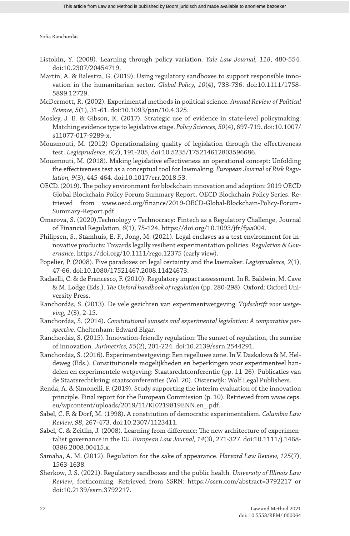- Listokin, Y. (2008). Learning through policy variation. *Yale Law Journal, 118*, 480-554. doi:10.2307/20454719.
- Martin, A. & Balestra, G. (2019). Using regulatory sandboxes to support responsible innovation in the humanitarian sector. *Global Policy, 10*(4), 733-736. doi:10.1111/1758- 5899.12729.
- McDermott, R. (2002). Experimental methods in political science. *Annual Review of Political Science, 5*(1), 31-61. doi:10.1093/pan/10.4.325.
- Mosley, J. E. & Gibson, K. (2017). Strategic use of evidence in state-level policymaking: Matching evidence type to legislative stage. *Policy Sciences, 50*(4), 697-719. doi:10.1007/ s11077-017-9289-x.
- Mousmouti, M. (2012) Operationalising quality of legislation through the effectiveness test. *Legisprudence, 6*(2), 191-205, doi:10.5235/175214612803596686.
- Mousmouti, M. (2018). Making legislative effectiveness an operational concept: Unfolding the effectiveness test as a conceptual tool for lawmaking. *European Journal of Risk Regulation, 9*(3), 445-464. doi:10.1017/err.2018.53.
- OECD. (2019). The policy environment for blockchain innovation and adoption: 2019 OECD Global Blockchain Policy Forum Summary Report. OECD Blockchain Policy Series. Retrieved from www.oecd.org/finance/2019-OECD-Global-Blockchain-Policy-Forum-Summary-Report.pdf.
- Omarova, S. (2020).Technology v Technocracy: Fintech as a Regulatory Challenge, Journal of Financial Regulation, *6*(1), 75-124. https://doi.org/10.1093/jfr/fjaa004.
- Philipsen, S., Stamhuis, E. F., Jong, M. (2021). Legal enclaves as a test environment for innovative products: Towards legally resilient experimentation policies. *Regulation & Governance*. https://doi.org/10.1111/rego.12375 (early view).
- Popelier, P. (2008). Five paradoxes on legal certainty and the lawmaker. *Legisprudence, 2*(1), 47-66. doi:10.1080/17521467.2008.11424673.
- Radaelli, C. & de Francesco, F. (2010). Regulatory impact assessment. In R. Baldwin, M. Cave & M. Lodge (Eds.). *The Oxford handbook of regulation* (pp. 280-298). Oxford: Oxford University Press.
- Ranchordás, S. (2013). De vele gezichten van experimentwetgeving. *Tijdschrift voor wetgeving, 1*(3), 2-15.
- Ranchordás, S. (2014). *Constitutional sunsets and experimental legislation: A comparative perspective*. Cheltenham: Edward Elgar.
- Ranchordás, S. (2015). Innovation-friendly regulation: The sunset of regulation, the sunrise of innovation. *Jurimetrics, 55*(2), 201-224. doi:10.2139/ssrn.2544291.
- Ranchordás, S. (2016). Experimentwetgeving: Een regelluwe zone. In V. Daskalova & M. Heldeweg (Eds.). Constitutionele mogelijkheden en beperkingen voor experimenteel handelen en experimentele wetgeving: Staatsrechtconferentie (pp. 11-26). Publicaties van de Staatsrechtkring: staatsconferenties (Vol. 20). Oisterwijk: Wolf Legal Publishers.
- Renda, A. & Simonelli, F. (2019). Study supporting the interim evaluation of the innovation principle. Final report for the European Commission (p. 10). Retrieved from www.ceps. eu/wpcontent/uploads/2019/11/KI0219819ENN.en\_.pdf.
- Sabel, C. F. & Dorf, M. (1998). A constitution of democratic experimentalism. *Columbia Law Review, 98*, 267-473. doi:10.2307/1123411.
- Sabel, C. & Zeitlin, J. (2008). Learning from difference: The new architecture of experimentalist governance in the EU. *European Law Journal, 14*(3), 271-327. doi:10.1111/j.1468- 0386.2008.00415.x.
- Samaha, A. M. (2012). Regulation for the sake of appearance. *Harvard Law Review, 125*(7), 1563-1638.
- Sherkow, J. S. (2021). Regulatory sandboxes and the public health*. University of Illinois Law Review*, forthcoming. Retrieved from SSRN: https://ssrn.com/abstract=3792217 or doi:10.2139/ssrn.3792217.